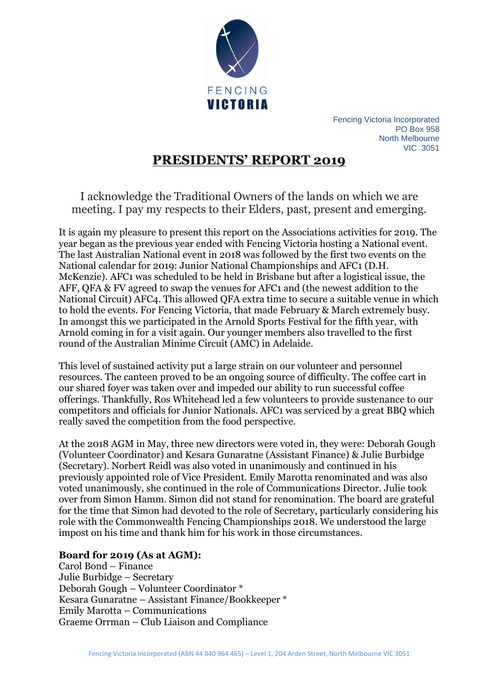

Fencing Victoria Incorporated PO Box 958 North Melbourne VIC 3051

# **PRESIDENTS' REPORT 2019**

I acknowledge the Traditional Owners of the lands on which we are meeting. I pay my respects to their Elders, past, present and emerging.

It is again my pleasure to present this report on the Associations activities for 2019. The year began as the previous year ended with Fencing Victoria hosting a National event. The last Australian National event in 2018 was followed by the first two events on the National calendar for 2019: Junior National Championships and AFC1 (D.H. McKenzie). AFC1 was scheduled to be held in Brisbane but after a logistical issue, the AFF, QFA & FV agreed to swap the venues for AFC1 and (the newest addition to the National Circuit) AFC4. This allowed QFA extra time to secure a suitable venue in which to hold the events. For Fencing Victoria, that made February & March extremely busy. In amongst this we participated in the Arnold Sports Festival for the fifth year, with Arnold coming in for a visit again. Our younger members also travelled to the first round of the Australian Minime Circuit (AMC) in Adelaide.

This level of sustained activity put a large strain on our volunteer and personnel resources. The canteen proved to be an ongoing source of difficulty. The coffee cart in our shared foyer was taken over and impeded our ability to run successful coffee offerings. Thankfully, Ros Whitehead led a few volunteers to provide sustenance to our competitors and officials for Junior Nationals. AFC1 was serviced by a great BBQ which really saved the competition from the food perspective.

At the 2018 AGM in May, three new directors were voted in, they were: Deborah Gough (Volunteer Coordinator) and Kesara Gunaratne (Assistant Finance) & Julie Burbidge (Secretary). Norbert Reidl was also voted in unanimously and continued in his previously appointed role of Vice President. Emily Marotta renominated and was also voted unanimously, she continued in the role of Communications Director. Julie took over from Simon Hamm. Simon did not stand for renomination. The board are grateful for the time that Simon had devoted to the role of Secretary, particularly considering his role with the Commonwealth Fencing Championships 2018. We understood the large impost on his time and thank him for his work in those circumstances.

## **Board for 2019 (As at AGM):**

Carol Bond – Finance Julie Burbidge – Secretary Deborah Gough – Volunteer Coordinator \* Kesara Gunaratne – Assistant Finance/Bookkeeper \* Emily Marotta – Communications Graeme Orrman – Club Liaison and Compliance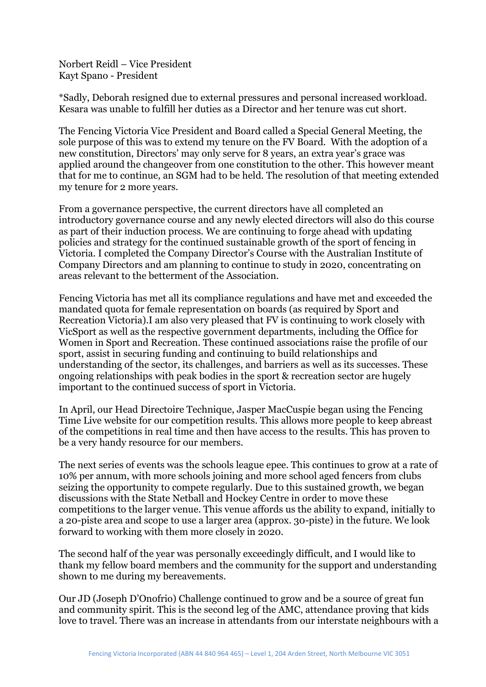Norbert Reidl – Vice President Kayt Spano - President

\*Sadly, Deborah resigned due to external pressures and personal increased workload. Kesara was unable to fulfill her duties as a Director and her tenure was cut short.

The Fencing Victoria Vice President and Board called a Special General Meeting, the sole purpose of this was to extend my tenure on the FV Board. With the adoption of a new constitution, Directors' may only serve for 8 years, an extra year's grace was applied around the changeover from one constitution to the other. This however meant that for me to continue, an SGM had to be held. The resolution of that meeting extended my tenure for 2 more years.

From a governance perspective, the current directors have all completed an introductory governance course and any newly elected directors will also do this course as part of their induction process. We are continuing to forge ahead with updating policies and strategy for the continued sustainable growth of the sport of fencing in Victoria. I completed the Company Director's Course with the Australian Institute of Company Directors and am planning to continue to study in 2020, concentrating on areas relevant to the betterment of the Association.

Fencing Victoria has met all its compliance regulations and have met and exceeded the mandated quota for female representation on boards (as required by Sport and Recreation Victoria).I am also very pleased that FV is continuing to work closely with VicSport as well as the respective government departments, including the Office for Women in Sport and Recreation. These continued associations raise the profile of our sport, assist in securing funding and continuing to build relationships and understanding of the sector, its challenges, and barriers as well as its successes. These ongoing relationships with peak bodies in the sport & recreation sector are hugely important to the continued success of sport in Victoria.

In April, our Head Directoire Technique, Jasper MacCuspie began using the Fencing Time Live website for our competition results. This allows more people to keep abreast of the competitions in real time and then have access to the results. This has proven to be a very handy resource for our members.

The next series of events was the schools league epee. This continues to grow at a rate of 10% per annum, with more schools joining and more school aged fencers from clubs seizing the opportunity to compete regularly. Due to this sustained growth, we began discussions with the State Netball and Hockey Centre in order to move these competitions to the larger venue. This venue affords us the ability to expand, initially to a 20-piste area and scope to use a larger area (approx. 30-piste) in the future. We look forward to working with them more closely in 2020.

The second half of the year was personally exceedingly difficult, and I would like to thank my fellow board members and the community for the support and understanding shown to me during my bereavements.

Our JD (Joseph D'Onofrio) Challenge continued to grow and be a source of great fun and community spirit. This is the second leg of the AMC, attendance proving that kids love to travel. There was an increase in attendants from our interstate neighbours with a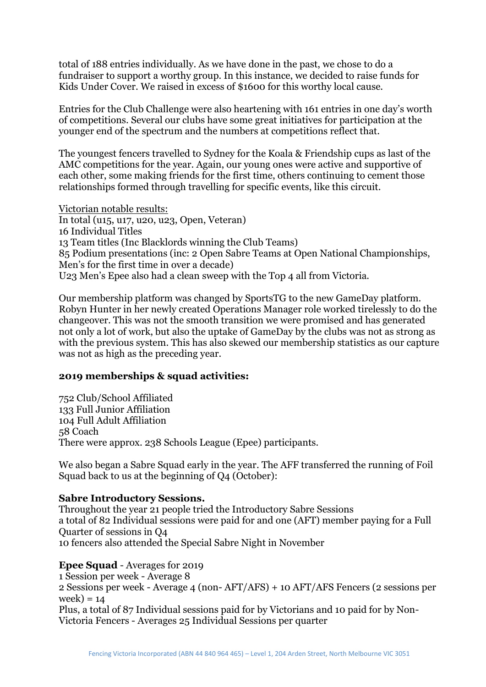total of 188 entries individually. As we have done in the past, we chose to do a fundraiser to support a worthy group. In this instance, we decided to raise funds for Kids Under Cover. We raised in excess of \$1600 for this worthy local cause.

Entries for the Club Challenge were also heartening with 161 entries in one day's worth of competitions. Several our clubs have some great initiatives for participation at the younger end of the spectrum and the numbers at competitions reflect that.

The youngest fencers travelled to Sydney for the Koala & Friendship cups as last of the AMC competitions for the year. Again, our young ones were active and supportive of each other, some making friends for the first time, others continuing to cement those relationships formed through travelling for specific events, like this circuit.

Victorian notable results: In total (u15, u17, u20, u23, Open, Veteran) 16 Individual Titles 13 Team titles (Inc Blacklords winning the Club Teams) 85 Podium presentations (inc: 2 Open Sabre Teams at Open National Championships, Men's for the first time in over a decade) U23 Men's Epee also had a clean sweep with the Top 4 all from Victoria.

Our membership platform was changed by SportsTG to the new GameDay platform. Robyn Hunter in her newly created Operations Manager role worked tirelessly to do the changeover. This was not the smooth transition we were promised and has generated not only a lot of work, but also the uptake of GameDay by the clubs was not as strong as with the previous system. This has also skewed our membership statistics as our capture was not as high as the preceding year.

## **2019 memberships & squad activities:**

752 Club/School Affiliated 133 Full Junior Affiliation 104 Full Adult Affiliation 58 Coach There were approx. 238 Schools League (Epee) participants.

We also began a Sabre Squad early in the year. The AFF transferred the running of Foil Squad back to us at the beginning of Q4 (October):

## **Sabre Introductory Sessions.**

Throughout the year 21 people tried the Introductory Sabre Sessions a total of 82 Individual sessions were paid for and one (AFT) member paying for a Full Quarter of sessions in Q4 10 fencers also attended the Special Sabre Night in November

## **Epee Squad** - Averages for 2019

1 Session per week - Average 8

2 Sessions per week - Average 4 (non- AFT/AFS) + 10 AFT/AFS Fencers (2 sessions per  $week) = 14$ 

Plus, a total of 87 Individual sessions paid for by Victorians and 10 paid for by Non-Victoria Fencers - Averages 25 Individual Sessions per quarter